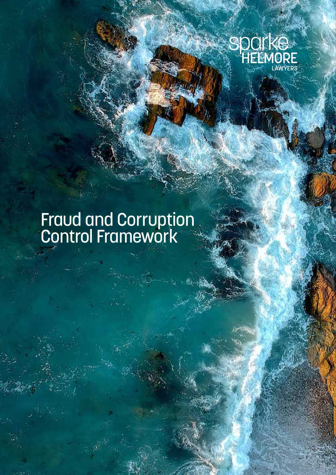

# Fraud and Corruption Control Framework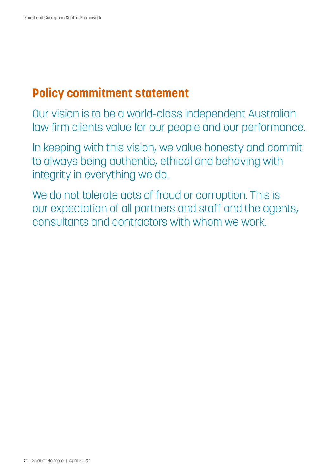## **Policy commitment statement**

Our vision is to be a world-class independent Australian law firm clients value for our people and our performance.

In keeping with this vision, we value honesty and commit to always being authentic, ethical and behaving with integrity in everything we do.

We do not tolerate acts of fraud or corruption. This is our expectation of all partners and staff and the agents, consultants and contractors with whom we work.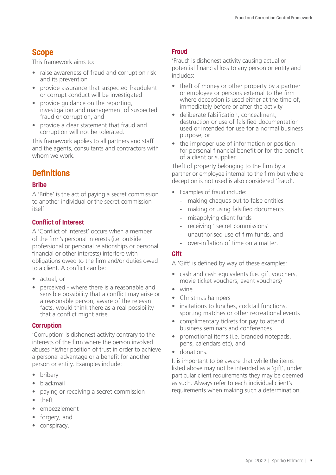## **Scope**

This framework aims to:

- raise awareness of fraud and corruption risk and its prevention
- provide assurance that suspected fraudulent or corrupt conduct will be investigated
- provide quidance on the reporting. investigation and management of suspected fraud or corruption, and
- provide a clear statement that fraud and corruption will not be tolerated.

This framework applies to all partners and staff and the agents, consultants and contractors with whom we work.

## **Definitions**

#### **Bribe**

A 'Bribe' is the act of paying a secret commission to another individual or the secret commission itself.

#### **Conflict of Interest**

A 'Conflict of Interest' occurs when a member of the firm's personal interests (i.e. outside professional or personal relationships or personal financial or other interests) interfere with obligations owed to the firm and/or duties owed to a client. A conflict can be:

- actual, or
- perceived where there is a reasonable and sensible possibility that a conflict may arise or a reasonable person, aware of the relevant facts, would think there as a real possibility that a conflict might arise.

#### **Corruption**

'Corruption' is dishonest activity contrary to the interests of the firm where the person involved abuses his/her position of trust in order to achieve a personal advantage or a benefit for another person or entity. Examples include:

- bribery
- blackmail
- paying or receiving a secret commission
- theft
- embezzlement
- forgery, and
- conspiracy.

#### **Fraud**

'Fraud' is dishonest activity causing actual or potential financial loss to any person or entity and includes:

- theft of money or other property by a partner or employee or persons external to the firm where deception is used either at the time of, immediately before or after the activity
- deliberate falsification, concealment, destruction or use of falsified documentation used or intended for use for a normal business purpose, or
- the improper use of information or position for personal financial benefit or for the benefit of a client or supplier.

Theft of property belonging to the firm by a partner or employee internal to the firm but where deception is not used is also considered 'fraud'.

- Examples of fraud include:
	- making cheques out to false entities
	- making or using falsified documents
	- misapplying client funds
	- receiving ' secret commissions'
	- unauthorised use of firm funds, and
	- over-inflation of time on a matter.

#### **Gift**

A 'Gift' is defined by way of these examples:

- cash and cash equivalents (i.e. gift vouchers, movie ticket vouchers, event vouchers)
- wine
- Christmas hampers
- invitations to lunches, cocktail functions, sporting matches or other recreational events
- complimentary tickets for pay to attend business seminars and conferences
- promotional items (i.e. branded notepads, pens, calendars etc), and
- donations.

It is important to be aware that while the items listed above may not be intended as a 'gift', under particular client requirements they may be deemed as such. Always refer to each individual client's requirements when making such a determination.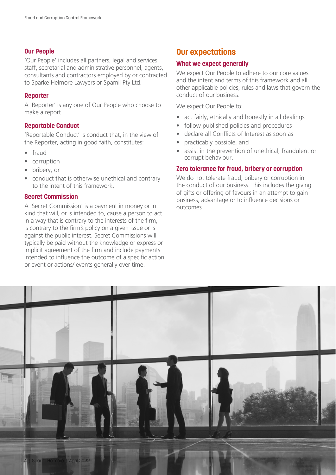#### **Our People**

'Our People' includes all partners, legal and services staff, secretarial and administrative personnel, agents, consultants and contractors employed by or contracted to Sparke Helmore Lawyers or Spamil Pty Ltd.

#### **Reporter**

A 'Reporter' is any one of Our People who choose to make a report.

#### **Reportable Conduct**

'Reportable Conduct' is conduct that, in the view of the Reporter, acting in good faith, constitutes:

- fraud
- corruption
- bribery, or
- conduct that is otherwise unethical and contrary to the intent of this framework.

#### **Secret Commission**

A 'Secret Commission' is a payment in money or in kind that will, or is intended to, cause a person to act in a way that is contrary to the interests of the firm, is contrary to the firm's policy on a given issue or is against the public interest. Secret Commissions will typically be paid without the knowledge or express or implicit agreement of the firm and include payments intended to influence the outcome of a specific action or event or actions/ events generally over time.

#### **Our expectations**

#### **What we expect generally**

We expect Our People to adhere to our core values and the intent and terms of this framework and all other applicable policies, rules and laws that govern the conduct of our business.

We expect Our People to:

- act fairly, ethically and honestly in all dealings
- follow published policies and procedures
- declare all Conflicts of Interest as soon as
- practicably possible, and
- assist in the prevention of unethical, fraudulent or corrupt behaviour.

#### **Zero tolerance for fraud, bribery or corruption**

We do not tolerate fraud, bribery or corruption in the conduct of our business. This includes the giving of gifts or offering of favours in an attempt to gain business, advantage or to influence decisions or outcomes.

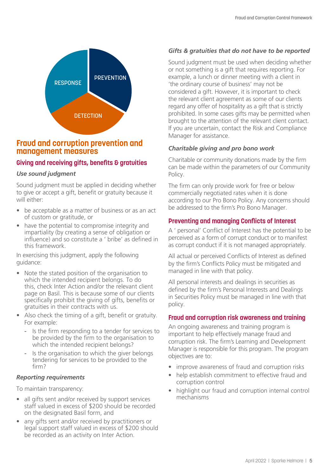

## **Fraud and corruption prevention and management measures**

#### **Giving and receiving gifts, benefits & gratuities**

#### *Use sound judgment*

Sound judgment must be applied in deciding whether to give or accept a gift, benefit or gratuity because it will either:

- be acceptable as a matter of business or as an act of custom or gratitude, or
- have the potential to compromise integrity and impartiality (by creating a sense of obligation or influence) and so constitute a ' bribe' as defined in this framework.

In exercising this judgment, apply the following guidance:

- Note the stated position of the organisation to which the intended recipient belongs. To do this, check Inter Action and/or the relevant client page on Basil. This is because some of our clients specifically prohibit the giving of gifts, benefits or gratuities in their contracts with us.
- Also check the timing of a gift, benefit or gratuity. For example:
	- Is the firm responding to a tender for services to be provided by the firm to the organisation to which the intended recipient belongs?
	- Is the organisation to which the giver belongs tendering for services to be provided to the firm?

#### *Reporting requirements*

To maintain transparency:

- all gifts sent and/or received by support services staff valued in excess of \$200 should be recorded on the designated Basil form, and
- any gifts sent and/or received by practitioners or legal support staff valued in excess of \$200 should be recorded as an activity on Inter Action.

## *Gifts & gratuities that do not have to be reported*

Sound judgment must be used when deciding whether or not something is a gift that requires reporting. For example, a lunch or dinner meeting with a client in 'the ordinary course of business' may not be considered a gift. However, it is important to check the relevant client agreement as some of our clients regard any offer of hospitality as a gift that is strictly prohibited. In some cases gifts may be permitted when brought to the attention of the relevant client contact. If you are uncertain, contact the Risk and Compliance Manager for assistance.

#### *Charitable giving and pro bono work*

Charitable or community donations made by the firm can be made within the parameters of our Community Policy.

The firm can only provide work for free or below commercially negotiated rates when it is done according to our Pro Bono Policy. Any concerns should be addressed to the firm's Pro Bono Manager.

#### **Preventing and managing Conflicts of Interest**

A ' personal' Conflict of Interest has the potential to be perceived as a form of corrupt conduct or to manifest as corrupt conduct if it is not managed appropriately.

All actual or perceived Conflicts of Interest as defined by the firm's Conflicts Policy must be mitigated and managed in line with that policy.

All personal interests and dealings in securities as defined by the firm's Personal Interests and Dealings in Securities Policy must be managed in line with that policy.

#### **Fraud and corruption risk awareness and training**

An ongoing awareness and training program is important to help effectively manage fraud and corruption risk. The firm's Learning and Development Manager is responsible for this program. The program objectives are to:

- improve awareness of fraud and corruption risks
- help establish commitment to effective fraud and corruption control
- highlight our fraud and corruption internal control mechanisms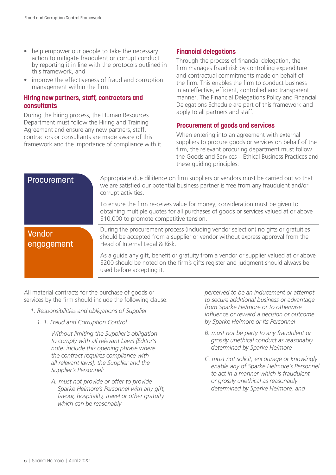- help empower our people to take the necessary action to mitigate fraudulent or corrupt conduct by reporting it in line with the protocols outlined in this framework, and
- improve the effectiveness of fraud and corruption management within the firm.

#### **Hiring new partners, staff, contractors and consultants**

During the hiring process, the Human Resources Department must follow the Hiring and Training Agreement and ensure any new partners, staff, contractors or consultants are made aware of this framework and the importance of compliance with it.

#### **Financial delegations**

Through the process of financial delegation, the firm manages fraud risk by controlling expenditure and contractual commitments made on behalf of the firm. This enables the firm to conduct business in an effective, efficient, controlled and transparent manner. The Financial Delegations Policy and Financial Delegations Schedule are part of this framework and apply to all partners and staff.

#### **Procurement of goods and services**

When entering into an agreement with external suppliers to procure goods or services on behalf of the firm, the relevant procuring department must follow the Goods and Services – Ethical Business Practices and these guiding principles:

#### **Procurement**

Appropriate due diliiJence on firm suppliers or vendors must be carried out so that we are satisfied our potential business partner is free from any fraudulent and/or corrupt activities.

To ensure the firm re-ceives value for money, consideration must be given to obtaining multiple quotes for all purchases of goods or services valued at or above \$10,000 to promote competitive tension.

#### Vendor engagement

During the procurement process (including vendor selection) no gifts or gratuities should be accepted from a supplier or vendor without express approval from the Head of Internal Legal & Risk.

As a guide any gift, benefit or gratuity from a vendor or supplier valued at or above \$200 should be noted on the firm's gifts register and judgment should always be used before accepting it.

All material contracts for the purchase of goods or services by the firm should include the following clause:

- *1. Responsibilities and obligations of Supplier*
	- *1. 1. Fraud and Corruption Control*

*Without limiting the Supplier's obligation to comply with all relevant Laws {Editor's note: include this opening phrase where the contract requires compliance with all relevant laws], the Supplier and the Supplier's Personnel:*

*A. must not provide or offer to provide Sparke Helmore's Personnel with any gift, favour, hospitality, travel or other gratuity which can be reasonably*

*perceived to be an inducement or attempt to secure additional business or advantage from Sparke He/more or to otherwise influence or reward a decision or outcome by Sparke He/more or its Personnel*

- *B. must not be party to any fraudulent or grossly unethical conduct as reasonably determined by Sparke He/more*
- *C. must not solicit, encourage or knowingly enable any of Sparke Helmore's Personnel to act in a manner which is fraudulent or grossly unethical as reasonably determined by Sparke He/more, and*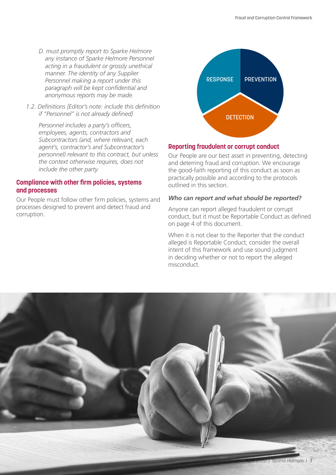- *D. must promptly report to Sparke He/more any instance of Sparke He/more Personnel acting in a fraudulent or grossly unethical manner. The identity of any Supplier Personnel making a report under this paragraph will be kept confidential and anonymous reports may be made.*
- *1.2. Definitions [Editor's note: include this definition if "Personnel" is not already defined}*

*Personnel includes a party's officers, employees, agents, contractors and Subcontractors (and, where relevant, each agent's, contractor's and Subcontractor's personnel) relevant to this contract, but unless the context otherwise requires, does not include the other party.*

#### **Compliance with other firm policies, systems and processes**

Our People must follow other firm policies, systems and processes designed to prevent and detect fraud and corruption.



#### **Reporting fraudulent or corrupt conduct**

Our People are our best asset in preventing, detecting and deterring fraud and corruption. We encourage the good-faith reporting of this conduct as soon as practically possible and according to the protocols outlined in this section.

#### *Who can report and what should be reported?*

Anyone can report alleged fraudulent or corrupt conduct, but it must be Reportable Conduct as defined on page 4 of this document.

When it is not clear to the Reporter that the conduct alleged is Reportable Conduct, consider the overall intent of this framework and use sound judgment in deciding whether or not to report the alleged misconduct.

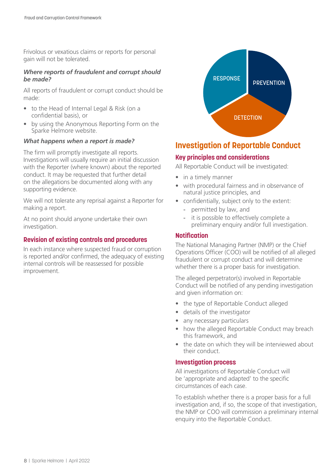Frivolous or vexatious claims or reports for personal gain will not be tolerated.

#### *Where reports of fraudulent and corrupt should be made?*

All reports of fraudulent or corrupt conduct should be made:

- to the Head of Internal Legal & Risk (on a confidential basis), or
- by using the Anonymous Reporting Form on the Sparke Helmore website.

#### *What happens when a report is made?*

The firm will promptly investigate all reports. Investigations will usually require an initial discussion with the Reporter (where known) about the reported conduct. It may be requested that further detail on the allegations be documented along with any supporting evidence.

We will not tolerate any reprisal against a Reporter for making a report.

At no point should anyone undertake their own investigation.

#### **Revision of existing controls and procedures**

In each instance where suspected fraud or corruption is reported and/or confirmed, the adequacy of existing internal controls will be reassessed for possible improvement.



## **Investigation of Reportable Conduct**

#### **Key principles and considerations**

All Reportable Conduct will be investigated:

- in a timely manner
- with procedural fairness and in observance of natural justice principles, and
- confidentially, subject only to the extent:
	- permitted by law, and
	- it is possible to effectively complete a preliminary enquiry and/or full investigation.

#### **Notification**

The National Managing Partner (NMP) or the Chief Operations Officer (COO) will be notified of all alleged fraudulent or corrupt conduct and will determine whether there is a proper basis for investigation.

The alleged perpetrator(s) involved in Reportable Conduct will be notified of any pending investigation and given information on:

- the type of Reportable Conduct alleged
- details of the investigator
- any necessary particulars
- how the alleged Reportable Conduct may breach this framework, and
- the date on which they will be interviewed about their conduct.

#### **Investigation process**

All investigations of Reportable Conduct will be 'appropriate and adapted' to the specific circumstances of each case.

To establish whether there is a proper basis for a full investigation and, if so, the scope of that investigation, the NMP or COO will commission a preliminary internal enquiry into the Reportable Conduct.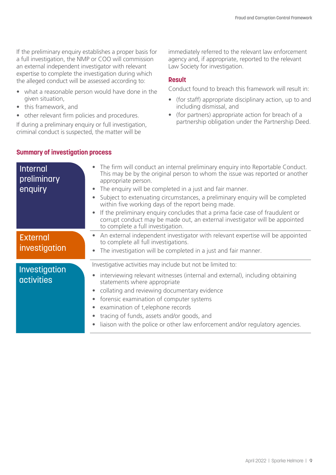If the preliminary enquiry establishes a proper basis for a full investigation, the NMP or COO will commission an external independent investigator with relevant expertise to complete the investigation during which the alleged conduct will be assessed according to:

- what a reasonable person would have done in the given situation,
- this framework, and
- other relevant firm policies and procedures.

If during a preliminary enquiry or full investigation, criminal conduct is suspected, the matter will be

immediately referred to the relevant law enforcement agency and, if appropriate, reported to the relevant Law Society for investigation.

#### **Result**

Conduct found to breach this framework will result in:

- (for staff) appropriate disciplinary action, up to and including dismissal, and
- (for partners) appropriate action for breach of a partnership obligation under the Partnership Deed.

#### **Summary of investigation process**

| Internal<br>preliminary<br>enquiry | The firm will conduct an internal preliminary enquiry into Reportable Conduct.<br>$\bullet$<br>This may be by the original person to whom the issue was reported or another<br>appropriate person.<br>The enquiry will be completed in a just and fair manner.<br>Subject to extenuating circumstances, a preliminary enquiry will be completed<br>within five working days of the report being made.<br>If the preliminary enguiry concludes that a prima facie case of fraudulent or<br>corrupt conduct may be made out, an external investigator will be appointed<br>to complete a full investigation. |
|------------------------------------|------------------------------------------------------------------------------------------------------------------------------------------------------------------------------------------------------------------------------------------------------------------------------------------------------------------------------------------------------------------------------------------------------------------------------------------------------------------------------------------------------------------------------------------------------------------------------------------------------------|
| <b>External</b><br>investigation   | An external independent investigator with relevant expertise will be appointed<br>$\bullet$<br>to complete all full investigations.<br>The investigation will be completed in a just and fair manner.<br>$\bullet$                                                                                                                                                                                                                                                                                                                                                                                         |
| Investigation<br><b>activities</b> | Investigative activities may include but not be limited to:<br>interviewing relevant witnesses (internal and external), including obtaining<br>$\bullet$<br>statements where appropriate<br>collating and reviewing documentary evidence<br>$\bullet$<br>forensic examination of computer systems<br>$\bullet$<br>examination of t, elephone records<br>$\bullet$<br>tracing of funds, assets and/or goods, and<br>liaison with the police or other law enforcement and/or regulatory agencies.                                                                                                            |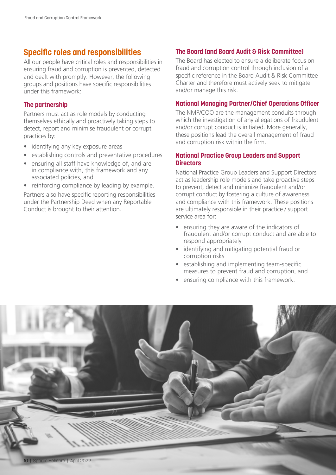## **Specific roles and responsibilities**

All our people have critical roles and responsibilities in ensuring fraud and corruption is prevented, detected and dealt with promptly. However, the following groups and positions have specific responsibilities under this framework:

#### **The partnership**

Partners must act as role models by conducting themselves ethically and proactively taking steps to detect, report and minimise fraudulent or corrupt practices by:

- identifying any key exposure areas
- establishing controls and preventative procedures
- ensuring all staff have knowledge of, and are in compliance with, this framework and any associated policies, and
- reinforcing compliance by leading by example.

Partners also have specific reporting responsibilities under the Partnership Deed when any Reportable Conduct is brought to their attention.

#### **The Board (and Board Audit & Risk Committee)**

The Board has elected to ensure a deliberate focus on fraud and corruption control through inclusion of a specific reference in the Board Audit & Risk Committee Charter and therefore must actively seek to mitigate and/or manage this risk.

#### **National Managing Partner/Chief Operations Officer**

The NMP/COO are the management conduits through which the investigation of any allegations of fraudulent and/or corrupt conduct is initiated. More generally, these positions lead the overall management of fraud and corruption risk within the firm.

#### **National Practice Group Leaders and Support Directors**

National Practice Group Leaders and Support Directors act as leadership role models and take proactive steps to prevent, detect and minimize fraudulent and/or corrupt conduct by fostering a culture of awareness and compliance with this framework. These positions are ultimately responsible in their practice / support service area for:

- ensuring they are aware of the indicators of fraudulent and/or corrupt conduct and are able to respond appropriately
- identifying and mitigating potential fraud or corruption risks
- establishing and implementing team-specific measures to prevent fraud and corruption, and
- ensuring compliance with this framework.

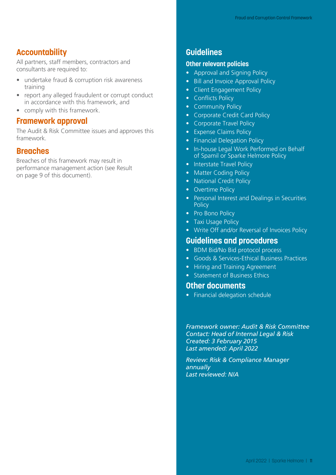#### **Accountability**

All partners, staff members, contractors and consultants are required to:

- undertake fraud & corruption risk awareness training
- report any alleged fraudulent or corrupt conduct in accordance with this framework, and
- comply with this framework.

#### **Framework approval**

The Audit & Risk Committee issues and approves this framework.

#### **Breaches**

Breaches of this framework may result in performance management action (see Result on page 9 of this document).

## **Guidelines**

#### **Other relevant policies**

- Approval and Signing Policy
- Bill and Invoice Approval Policy
- Client Engagement Policy
- Conflicts Policy
- Community Policy
- Corporate Credit Card Policy
- Corporate Travel Policy
- Expense Claims Policy
- Financial Delegation Policy
- In-house Legal Work Performed on Behalf of Spamil or Sparke Helmore Policy
- Interstate Travel Policy
- Matter Coding Policy
- National Credit Policy
- Overtime Policy
- Personal Interest and Dealings in Securities **Policy**
- Pro Bono Policy
- Taxi Usage Policy
- Write Off and/or Reversal of Invoices Policy

#### **Guidelines and procedures**

- BDM Bid/No Bid protocol process
- Goods & Services-Ethical Business Practices
- Hiring and Training Agreement
- Statement of Business Ethics

#### **Other documents**

• Financial delegation schedule

*Framework owner: Audit & Risk Committee Contact: Head of Internal Legal & Risk Created: 3 February 2015 Last amended: April 2022*

*Review: Risk & Compliance Manager annually Last reviewed: N/A*